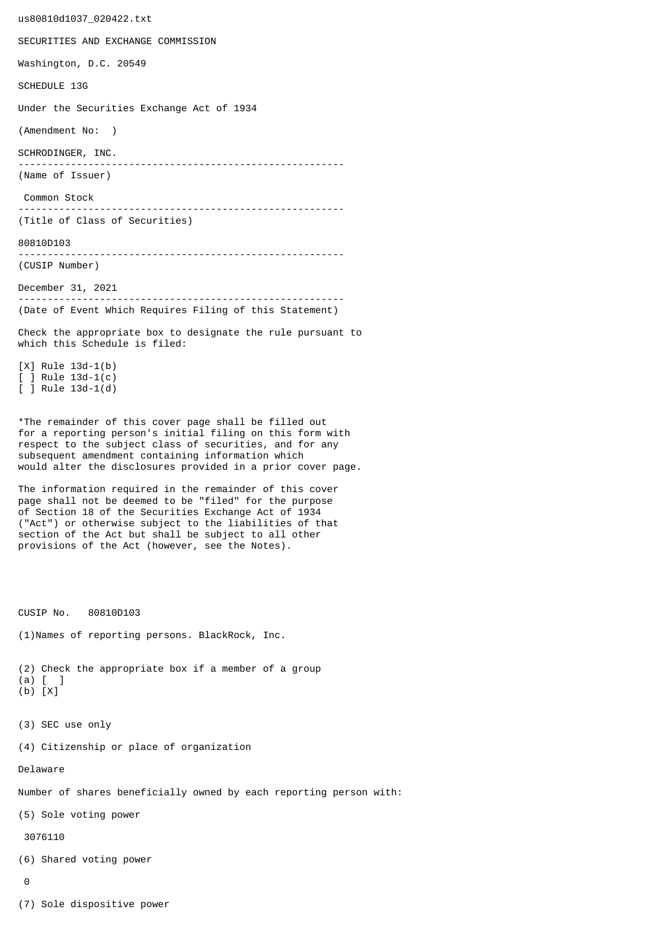us80810d1037\_020422.txt SECURITIES AND EXCHANGE COMMISSION Washington, D.C. 20549 SCHEDULE 13G Under the Securities Exchange Act of 1934 (Amendment No: ) SCHRODINGER, INC. -------------------------------------------------------- (Name of Issuer) Common Stock -------------------------------------------------------- (Title of Class of Securities) 80810D103 -------------------------------------------------------- (CUSIP Number) December 31, 2021 -------------------------------------------------------- (Date of Event Which Requires Filing of this Statement) Check the appropriate box to designate the rule pursuant to which this Schedule is filed: [X] Rule 13d-1(b) [ ] Rule 13d-1(c) [ ] Rule 13d-1(d) \*The remainder of this cover page shall be filled out for a reporting person's initial filing on this form with respect to the subject class of securities, and for any subsequent amendment containing information which would alter the disclosures provided in a prior cover page. The information required in the remainder of this cover page shall not be deemed to be "filed" for the purpose of Section 18 of the Securities Exchange Act of 1934 ("Act") or otherwise subject to the liabilities of that section of the Act but shall be subject to all other provisions of the Act (however, see the Notes). CUSIP No. 80810D103 (1)Names of reporting persons. BlackRock, Inc. (2) Check the appropriate box if a member of a group (a) [ ] (b) [X] (3) SEC use only (4) Citizenship or place of organization Delaware Number of shares beneficially owned by each reporting person with: (5) Sole voting power 3076110 (6) Shared voting power  $\Omega$ 

(7) Sole dispositive power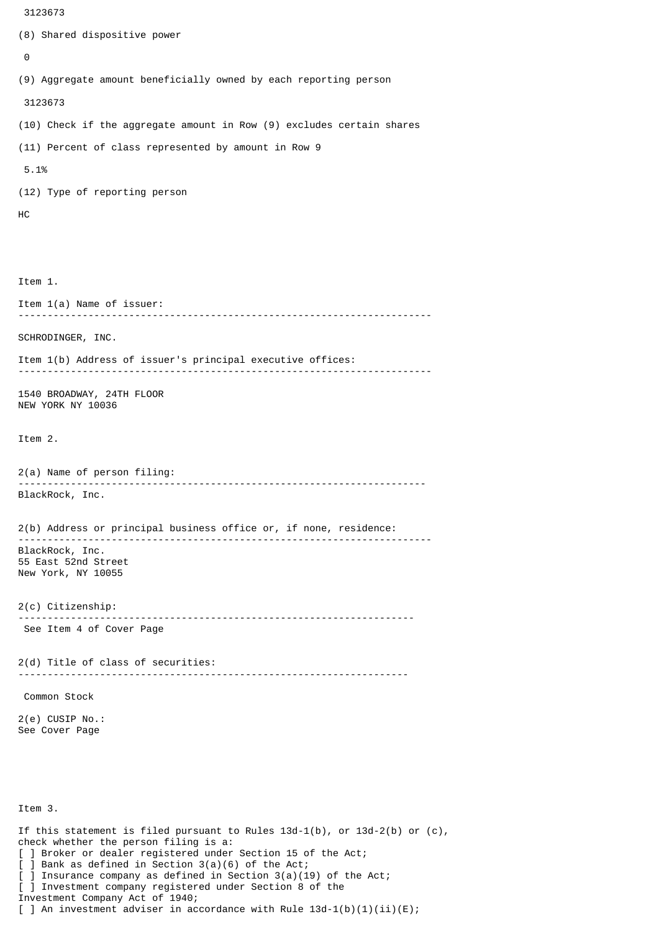```
 3123673
(8) Shared dispositive power
 \boldsymbol{\Theta}(9) Aggregate amount beneficially owned by each reporting person
  3123673
(10) Check if the aggregate amount in Row (9) excludes certain shares
(11) Percent of class represented by amount in Row 9
 5.1%
(12) Type of reporting person
HC
Item 1.
Item 1(a) Name of issuer:
                 -----------------------------------------------------------------------
SCHRODINGER, INC.
Item 1(b) Address of issuer's principal executive offices:
-----------------------------------------------------------------------
1540 BROADWAY, 24TH FLOOR
NEW YORK NY 10036
Item 2.
2(a) Name of person filing:
               ----------------------------------------------------------------------
BlackRock, Inc.
2(b) Address or principal business office or, if none, residence:
 -----------------------------------------------------------------------
BlackRock, Inc.
55 East 52nd Street
New York, NY 10055
2(c) Citizenship:
                             --------------------------------------------------------------------
 See Item 4 of Cover Page
2(d) Title of class of securities:
                                       -------------------------------------------------------------------
 Common Stock
2(e) CUSIP No.:
See Cover Page
Item 3.
If this statement is filed pursuant to Rules 13d-1(b), or 13d-2(b) or (c),
check whether the person filing is a:
[ ] Broker or dealer registered under Section 15 of the Act;
```

```
[ ] Bank as defined in Section 3(a)(6) of the Act;
 ] Insurance company as defined in Section 3(a)(19) of the Act;
[ ] Investment company registered under Section 8 of the
```
Investment Company Act of 1940;

[ ] An investment adviser in accordance with Rule  $13d-1(b)(1)(ii)(E)$ ;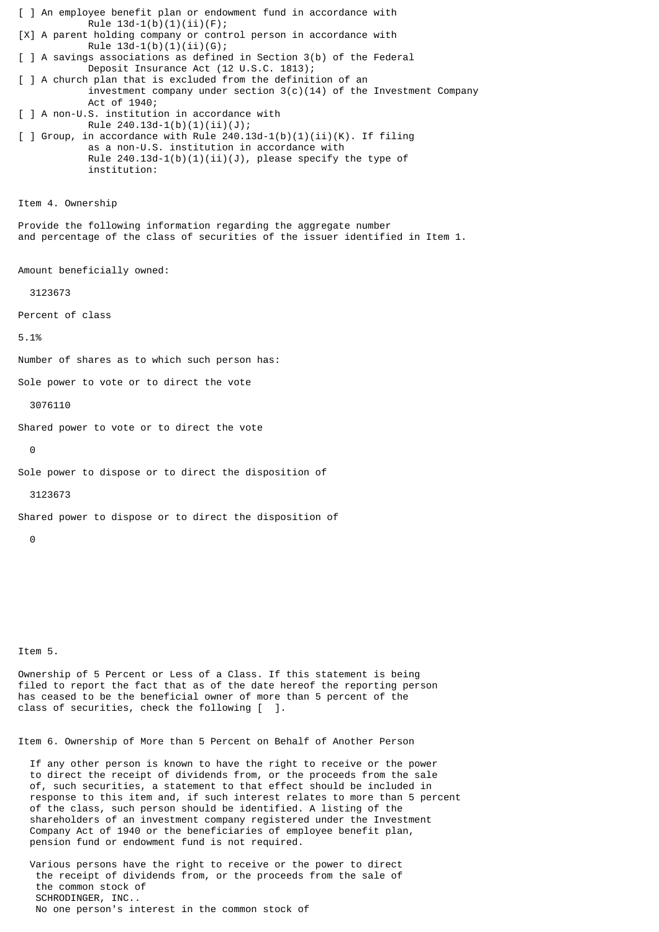[ ] An employee benefit plan or endowment fund in accordance with Rule  $13d-1(b)(1)(ii)(F);$ [X] A parent holding company or control person in accordance with Rule  $13d-1(b)(1)(ii)(G);$ [ ] A savings associations as defined in Section 3(b) of the Federal Deposit Insurance Act (12 U.S.C. 1813); [ ] A church plan that is excluded from the definition of an investment company under section  $3(c)(14)$  of the Investment Company Act of 1940; [ ] A non-U.S. institution in accordance with Rule  $240.13d-1(b)(1)(ii)(J);$  $\lceil$  ] Group, in accordance with Rule 240.13d-1(b)(1)(ii)(K). If filing as a non-U.S. institution in accordance with Rule  $240.13d-1(b)(1)(ii)(J)$ , please specify the type of institution: Item 4. Ownership Provide the following information regarding the aggregate number and percentage of the class of securities of the issuer identified in Item 1. Amount beneficially owned: 3123673 Percent of class 5.1% Number of shares as to which such person has: Sole power to vote or to direct the vote 3076110 Shared power to vote or to direct the vote  $\Theta$ Sole power to dispose or to direct the disposition of 3123673 Shared power to dispose or to direct the disposition of 0

Item 5.

Ownership of 5 Percent or Less of a Class. If this statement is being filed to report the fact that as of the date hereof the reporting person has ceased to be the beneficial owner of more than 5 percent of the class of securities, check the following [ ].

Item 6. Ownership of More than 5 Percent on Behalf of Another Person

 If any other person is known to have the right to receive or the power to direct the receipt of dividends from, or the proceeds from the sale of, such securities, a statement to that effect should be included in response to this item and, if such interest relates to more than 5 percent of the class, such person should be identified. A listing of the shareholders of an investment company registered under the Investment Company Act of 1940 or the beneficiaries of employee benefit plan, pension fund or endowment fund is not required.

 Various persons have the right to receive or the power to direct the receipt of dividends from, or the proceeds from the sale of the common stock of SCHRODINGER, INC.. No one person's interest in the common stock of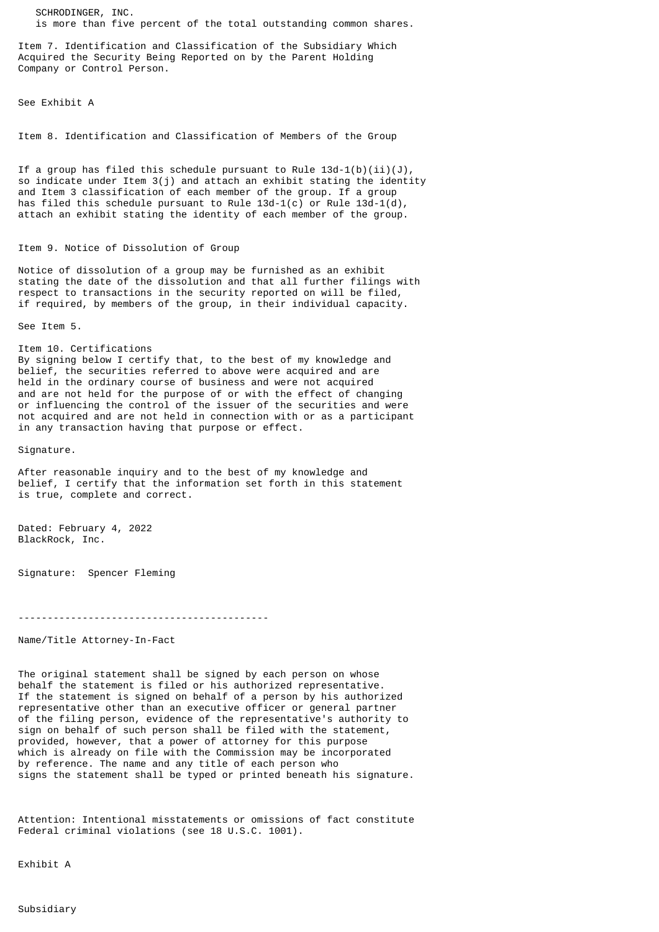SCHRODINGER, INC. is more than five percent of the total outstanding common shares.

Item 7. Identification and Classification of the Subsidiary Which Acquired the Security Being Reported on by the Parent Holding Company or Control Person.

See Exhibit A

Item 8. Identification and Classification of Members of the Group

If a group has filed this schedule pursuant to Rule  $13d-1(b)(ii)(J)$ , so indicate under Item 3(j) and attach an exhibit stating the identity and Item 3 classification of each member of the group. If a group has filed this schedule pursuant to Rule  $13d-1(c)$  or Rule  $13d-1(d)$ , attach an exhibit stating the identity of each member of the group.

## Item 9. Notice of Dissolution of Group

Notice of dissolution of a group may be furnished as an exhibit stating the date of the dissolution and that all further filings with respect to transactions in the security reported on will be filed, if required, by members of the group, in their individual capacity.

See Item 5.

Item 10. Certifications By signing below I certify that, to the best of my knowledge and belief, the securities referred to above were acquired and are held in the ordinary course of business and were not acquired and are not held for the purpose of or with the effect of changing or influencing the control of the issuer of the securities and were not acquired and are not held in connection with or as a participant

in any transaction having that purpose or effect.

Signature.

After reasonable inquiry and to the best of my knowledge and belief, I certify that the information set forth in this statement is true, complete and correct.

Dated: February 4, 2022 BlackRock, Inc.

Signature: Spencer Fleming

-------------------------------------------

Name/Title Attorney-In-Fact

The original statement shall be signed by each person on whose behalf the statement is filed or his authorized representative. If the statement is signed on behalf of a person by his authorized representative other than an executive officer or general partner of the filing person, evidence of the representative's authority to sign on behalf of such person shall be filed with the statement, provided, however, that a power of attorney for this purpose which is already on file with the Commission may be incorporated by reference. The name and any title of each person who signs the statement shall be typed or printed beneath his signature.

Attention: Intentional misstatements or omissions of fact constitute Federal criminal violations (see 18 U.S.C. 1001).

Exhibit A